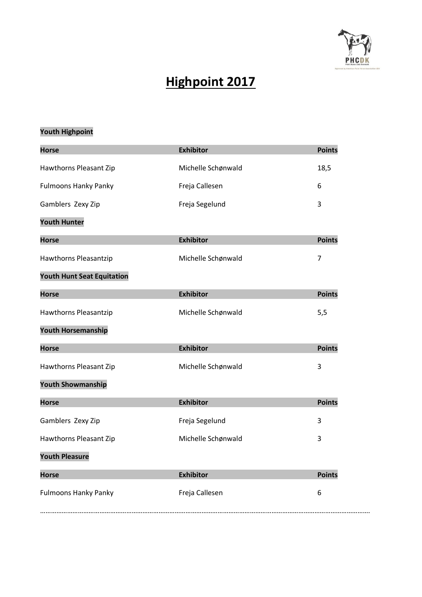

# **Highpoint 2017**

### **Youth Highpoint**

| <b>Horse</b>                      | <b>Exhibitor</b>   | <b>Points</b>  |
|-----------------------------------|--------------------|----------------|
| Hawthorns Pleasant Zip            | Michelle Schønwald | 18,5           |
| <b>Fulmoons Hanky Panky</b>       | Freja Callesen     | 6              |
| Gamblers Zexy Zip                 | Freja Segelund     | 3              |
| <b>Youth Hunter</b>               |                    |                |
| <b>Horse</b>                      | <b>Exhibitor</b>   | <b>Points</b>  |
| Hawthorns Pleasantzip             | Michelle Schønwald | $\overline{7}$ |
| <b>Youth Hunt Seat Equitation</b> |                    |                |
| <b>Horse</b>                      | <b>Exhibitor</b>   | <b>Points</b>  |
| Hawthorns Pleasantzip             | Michelle Schønwald | 5,5            |
| <b>Youth Horsemanship</b>         |                    |                |
| <b>Horse</b>                      | <b>Exhibitor</b>   | <b>Points</b>  |
| Hawthorns Pleasant Zip            | Michelle Schønwald | 3              |
| <b>Youth Showmanship</b>          |                    |                |
| <b>Horse</b>                      | <b>Exhibitor</b>   | <b>Points</b>  |
| Gamblers Zexy Zip                 | Freja Segelund     | 3              |
| Hawthorns Pleasant Zip            | Michelle Schønwald | 3              |
| <b>Youth Pleasure</b>             |                    |                |
| <b>Horse</b>                      | <b>Exhibitor</b>   | <b>Points</b>  |
| <b>Fulmoons Hanky Panky</b>       | Freja Callesen     | 6              |
|                                   |                    |                |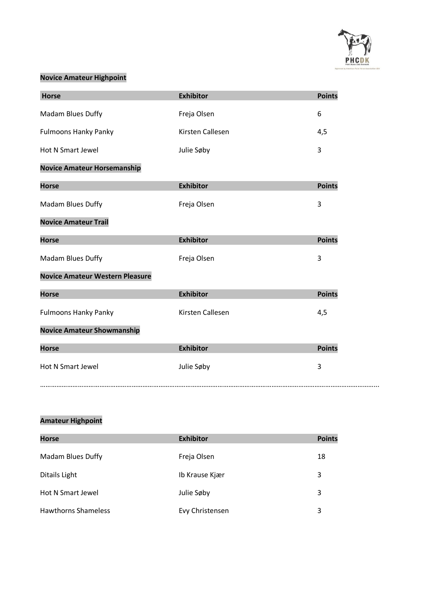

### **Novice Amateur Highpoint**

| Horse                                  | <b>Exhibitor</b> | <b>Points</b> |
|----------------------------------------|------------------|---------------|
| Madam Blues Duffy                      | Freja Olsen      | 6             |
| <b>Fulmoons Hanky Panky</b>            | Kirsten Callesen | 4,5           |
| <b>Hot N Smart Jewel</b>               | Julie Søby       | 3             |
| <b>Novice Amateur Horsemanship</b>     |                  |               |
| <b>Horse</b>                           | <b>Exhibitor</b> | <b>Points</b> |
| Madam Blues Duffy                      | Freja Olsen      | 3             |
| <b>Novice Amateur Trail</b>            |                  |               |
| <b>Horse</b>                           | <b>Exhibitor</b> | <b>Points</b> |
| Madam Blues Duffy                      | Freja Olsen      | 3             |
| <b>Novice Amateur Western Pleasure</b> |                  |               |
| <b>Horse</b>                           | <b>Exhibitor</b> | <b>Points</b> |
| <b>Fulmoons Hanky Panky</b>            | Kirsten Callesen | 4,5           |
| <b>Novice Amateur Showmanship</b>      |                  |               |
| <b>Horse</b>                           | <b>Exhibitor</b> | <b>Points</b> |
| <b>Hot N Smart Jewel</b>               | Julie Søby       | 3             |
|                                        |                  |               |

### **Amateur Highpoint**

| <b>Horse</b>               | <b>Exhibitor</b> | <b>Points</b> |
|----------------------------|------------------|---------------|
| <b>Madam Blues Duffy</b>   | Freja Olsen      | 18            |
| Ditails Light              | Ib Krause Kjær   | 3             |
| Hot N Smart Jewel          | Julie Søby       | 3             |
| <b>Hawthorns Shameless</b> | Evy Christensen  | 3             |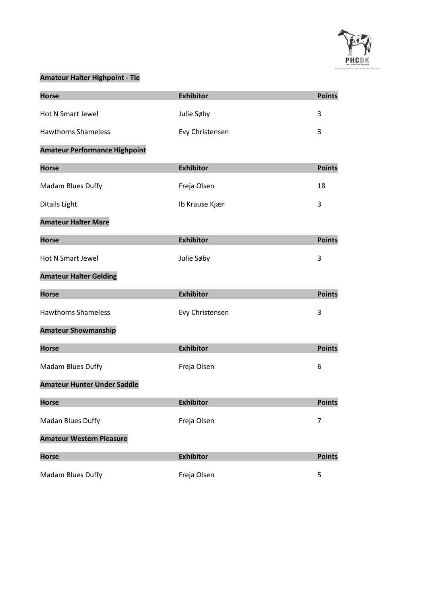

### **Amateur Halter Highpoint - Tie**

| <b>Horse</b>                         | <b>Exhibitor</b> | <b>Points</b> |
|--------------------------------------|------------------|---------------|
| <b>Hot N Smart Jewel</b>             | Julie Søby       | 3             |
| <b>Hawthorns Shameless</b>           | Evy Christensen  | 3             |
| <b>Amateur Performance Highpoint</b> |                  |               |
| <b>Horse</b>                         | <b>Exhibitor</b> | <b>Points</b> |
| Madam Blues Duffy                    | Freja Olsen      | 18            |
| Ditails Light                        | Ib Krause Kjær   | 3             |
| <b>Amateur Halter Mare</b>           |                  |               |
| <b>Horse</b>                         | <b>Exhibitor</b> | <b>Points</b> |
| Hot N Smart Jewel                    | Julie Søby       | 3             |
| <b>Amateur Halter Gelding</b>        |                  |               |
| <b>Horse</b>                         | <b>Exhibitor</b> | <b>Points</b> |
| <b>Hawthorns Shameless</b>           | Evy Christensen  | 3             |
| <b>Amateur Showmanship</b>           |                  |               |
| <b>Horse</b>                         | <b>Exhibitor</b> | <b>Points</b> |
| Madam Blues Duffy                    | Freja Olsen      | 6             |
| <b>Amateur Hunter Under Saddle</b>   |                  |               |
| <b>Horse</b>                         | <b>Exhibitor</b> | <b>Points</b> |
| Madan Blues Duffy                    | Freja Olsen      | 7             |
| <b>Amateur Western Pleasure</b>      |                  |               |
| <b>Horse</b>                         | <b>Exhibitor</b> | <b>Points</b> |
| Madam Blues Duffy                    | Freja Olsen      | 5             |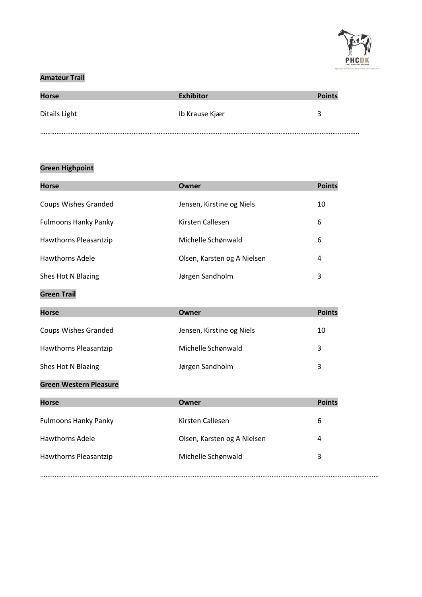

### **Amateur Trail**

| <b>Horse</b>  | <b>Exhibitor</b> | <b>Points</b> |
|---------------|------------------|---------------|
| Ditails Light | Ib Krause Kjær   |               |
|               |                  |               |

#### **Green Highpoint**

| <b>Horse</b>                  | Owner                       | <b>Points</b> |
|-------------------------------|-----------------------------|---------------|
| <b>Coups Wishes Granded</b>   | Jensen, Kirstine og Niels   | 10            |
| <b>Fulmoons Hanky Panky</b>   | <b>Kirsten Callesen</b>     | 6             |
| Hawthorns Pleasantzip         | Michelle Schønwald          | 6             |
| <b>Hawthorns Adele</b>        | Olsen, Karsten og A Nielsen | 4             |
| Shes Hot N Blazing            | Jørgen Sandholm             | 3             |
| <b>Green Trail</b>            |                             |               |
| <b>Horse</b>                  | <b>Owner</b>                | <b>Points</b> |
| <b>Coups Wishes Granded</b>   | Jensen, Kirstine og Niels   | 10            |
| Hawthorns Pleasantzip         | Michelle Schønwald          | 3             |
| Shes Hot N Blazing            | Jørgen Sandholm             | 3             |
| <b>Green Western Pleasure</b> |                             |               |
| <b>Horse</b>                  | Owner                       | <b>Points</b> |
| <b>Fulmoons Hanky Panky</b>   | Kirsten Callesen            | 6             |
| <b>Hawthorns Adele</b>        | Olsen, Karsten og A Nielsen | 4             |
| Hawthorns Pleasantzip         | Michelle Schønwald          | 3             |

………………………………………………………………………………………………………………………………………………………………………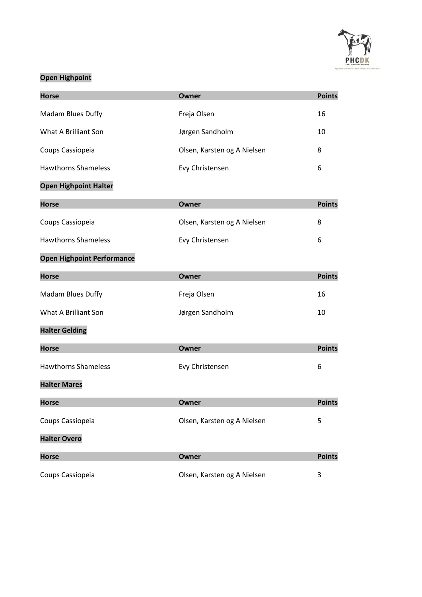

## **Open Highpoint**

| <b>Horse</b>                      | <b>Owner</b>                | <b>Points</b> |
|-----------------------------------|-----------------------------|---------------|
| Madam Blues Duffy                 | Freja Olsen                 | 16            |
| What A Brilliant Son              | Jørgen Sandholm             | 10            |
| Coups Cassiopeia                  | Olsen, Karsten og A Nielsen | 8             |
| <b>Hawthorns Shameless</b>        | Evy Christensen             | 6             |
| <b>Open Highpoint Halter</b>      |                             |               |
| <b>Horse</b>                      | <b>Owner</b>                | <b>Points</b> |
| Coups Cassiopeia                  | Olsen, Karsten og A Nielsen | 8             |
| <b>Hawthorns Shameless</b>        | Evy Christensen             | 6             |
| <b>Open Highpoint Performance</b> |                             |               |
| <b>Horse</b>                      | <b>Owner</b>                | <b>Points</b> |
| Madam Blues Duffy                 | Freja Olsen                 | 16            |
| What A Brilliant Son              | Jørgen Sandholm             | 10            |
| <b>Halter Gelding</b>             |                             |               |
| <b>Horse</b>                      | <b>Owner</b>                | <b>Points</b> |
| <b>Hawthorns Shameless</b>        | Evy Christensen             | 6             |
| <b>Halter Mares</b>               |                             |               |
| <b>Horse</b>                      | Owner                       | <b>Points</b> |
| Coups Cassiopeia                  | Olsen, Karsten og A Nielsen | 5             |
| <b>Halter Overo</b>               |                             |               |
| <b>Horse</b>                      | <b>Owner</b>                | <b>Points</b> |
| Coups Cassiopeia                  | Olsen, Karsten og A Nielsen | 3             |